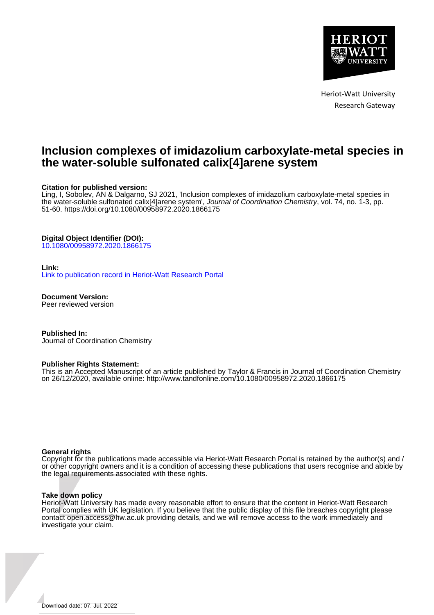

Heriot-Watt University Research Gateway

# **Inclusion complexes of imidazolium carboxylate-metal species in the water-soluble sulfonated calix[4]arene system**

#### **Citation for published version:**

Ling, I, Sobolev, AN & Dalgarno, SJ 2021, 'Inclusion complexes of imidazolium carboxylate-metal species in the water-soluble sulfonated calix[4]arene system', Journal of Coordination Chemistry, vol. 74, no. 1-3, pp. 51-60.<https://doi.org/10.1080/00958972.2020.1866175>

#### **Digital Object Identifier (DOI):**

[10.1080/00958972.2020.1866175](https://doi.org/10.1080/00958972.2020.1866175)

#### **Link:**

[Link to publication record in Heriot-Watt Research Portal](https://researchportal.hw.ac.uk/en/publications/be8c3dca-a64a-4bde-b409-c82b98a3648a)

**Document Version:** Peer reviewed version

**Published In:** Journal of Coordination Chemistry

#### **Publisher Rights Statement:**

This is an Accepted Manuscript of an article published by Taylor & Francis in Journal of Coordination Chemistry on 26/12/2020, available online: http://www.tandfonline.com/10.1080/00958972.2020.1866175

#### **General rights**

Copyright for the publications made accessible via Heriot-Watt Research Portal is retained by the author(s) and / or other copyright owners and it is a condition of accessing these publications that users recognise and abide by the legal requirements associated with these rights.

#### **Take down policy**

Heriot-Watt University has made every reasonable effort to ensure that the content in Heriot-Watt Research Portal complies with UK legislation. If you believe that the public display of this file breaches copyright please contact open.access@hw.ac.uk providing details, and we will remove access to the work immediately and investigate your claim.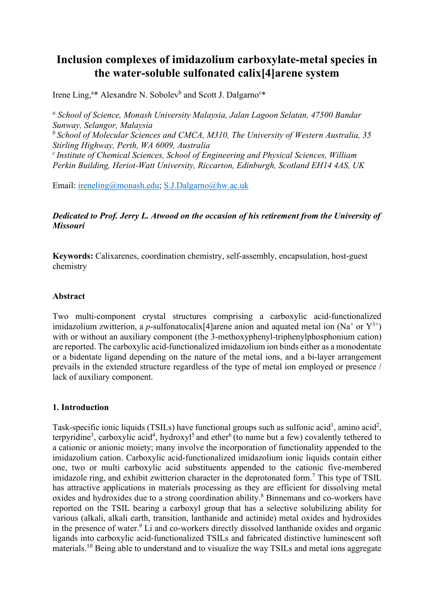# **Inclusion complexes of imidazolium carboxylate-metal species in the water-soluble sulfonated calix[4]arene system**

Irene Ling,<sup>a\*</sup> Alexandre N. Sobolev<sup>b</sup> and Scott J. Dalgarno<sup>c\*</sup>

*<sup>a</sup> School of Science, Monash University Malaysia, Jalan Lagoon Selatan, 47500 Bandar Sunway, Selangor, Malaysia b School of Molecular Sciences and CMCA, M310, The University of Western Australia, 35 Stirling Highway, Perth, WA 6009, Australia c Institute of Chemical Sciences, School of Engineering and Physical Sciences, William Perkin Building, Heriot-Watt University, Riccarton, Edinburgh, Scotland EH14 4AS, UK*

Email: [ireneling@monash.edu;](mailto:ireneling@monash.edu) [S.J.Dalgarno@hw.ac.uk](mailto:S.J.Dalgarno@hw.ac.uk)

# *Dedicated to Prof. Jerry L. Atwood on the occasion of his retirement from the University of Missouri*

**Keywords:** Calixarenes, coordination chemistry, self-assembly, encapsulation, host-guest chemistry

## **Abstract**

Two multi-component crystal structures comprising a carboxylic acid-functionalized imidazolium zwitterion, a *p*-sulfonatocalix<sup>[4]</sup> arene anion and aquated metal ion  $(Na^+$  or  $Y^{3+})$ with or without an auxiliary component (the 3-methoxyphenyl-triphenylphosphonium cation) are reported. The carboxylic acid-functionalized imidazolium ion binds either as a monodentate or a bidentate ligand depending on the nature of the metal ions, and a bi-layer arrangement prevails in the extended structure regardless of the type of metal ion employed or presence / lack of auxiliary component.

# **1. Introduction**

Task-specific ionic liquids (TSILs) have functional groups such as sulfonic acid<sup>1</sup>, amino acid<sup>2</sup>, terpyridine<sup>3</sup>, carboxylic acid<sup>4</sup>, hydroxyl<sup>5</sup> and ether<sup>6</sup> (to name but a few) covalently tethered to a cationic or anionic moiety; many involve the incorporation of functionality appended to the imidazolium cation. Carboxylic acid-functionalized imidazolium ionic liquids contain either one, two or multi carboxylic acid substituents appended to the cationic five-membered imidazole ring, and exhibit zwitterion character in the deprotonated form.<sup>7</sup> This type of TSIL has attractive applications in materials processing as they are efficient for dissolving metal oxides and hydroxides due to a strong coordination ability. <sup>8</sup> Binnemans and co-workers have reported on the TSIL bearing a carboxyl group that has a selective solubilizing ability for various (alkali, alkali earth, transition, lanthanide and actinide) metal oxides and hydroxides in the presence of water.<sup>9</sup> Li and co-workers directly dissolved lanthanide oxides and organic ligands into carboxylic acid-functionalized TSILs and fabricated distinctive luminescent soft materials.<sup>10</sup> Being able to understand and to visualize the way TSILs and metal ions aggregate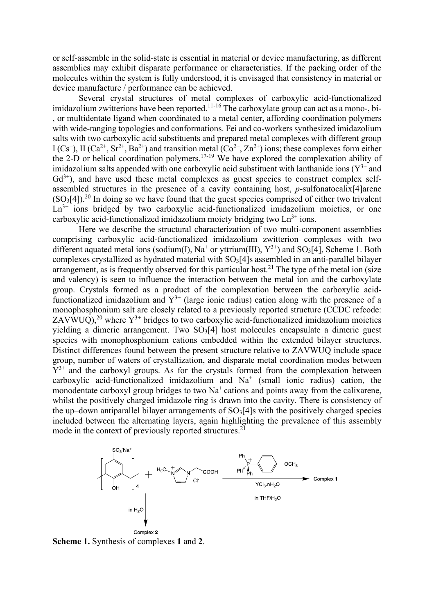or self-assemble in the solid-state is essential in material or device manufacturing, as different assemblies may exhibit disparate performance or characteristics. If the packing order of the molecules within the system is fully understood, it is envisaged that consistency in material or device manufacture / performance can be achieved.

Several crystal structures of metal complexes of carboxylic acid-functionalized imidazolium zwitterions have been reported.<sup>11-16</sup> The carboxylate group can act as a mono-, bi-, or multidentate ligand when coordinated to a metal center, affording coordination polymers with wide-ranging topologies and conformations. Fei and co-workers synthesized imidazolium salts with two carboxylic acid substituents and prepared metal complexes with different group  $I (Cs<sup>+</sup>)$ , II (Ca<sup>2+</sup>, Sr<sup>2+</sup>, Ba<sup>2+</sup>) and transition metal (Co<sup>2+</sup>, Zn<sup>2+</sup>) ions; these complexes form either the 2-D or helical coordination polymers.<sup>17-19</sup> We have explored the complexation ability of imidazolium salts appended with one carboxylic acid substituent with lanthanide ions  $(Y^{3+}$  and  $Gd^{3+}$ ), and have used these metal complexes as guest species to construct complex selfassembled structures in the presence of a cavity containing host, *p*-sulfonatocalix[4]arene  $(SO<sub>3</sub>[4])<sup>20</sup>$  In doing so we have found that the guest species comprised of either two trivalent  $Ln^{3+}$  ions bridged by two carboxylic acid-functionalized imidazolium moieties, or one carboxylic acid-functionalized imidazolium moiety bridging two  $Ln<sup>3+</sup>$  ions.

Here we describe the structural characterization of two multi-component assemblies comprising carboxylic acid-functionalized imidazolium zwitterion complexes with two different aquated metal ions (sodium(I),  $Na^+$  or yttrium(III),  $Y^{3+}$ ) and SO<sub>3</sub>[4], Scheme 1. Both complexes crystallized as hydrated material with SO<sub>3</sub>[4]s assembled in an anti-parallel bilayer arrangement, as is frequently observed for this particular host.<sup>21</sup> The type of the metal ion (size and valency) is seen to influence the interaction between the metal ion and the carboxylate group. Crystals formed as a product of the complexation between the carboxylic acidfunctionalized imidazolium and  $Y^{3+}$  (large ionic radius) cation along with the presence of a monophosphonium salt are closely related to a previously reported structure (CCDC refcode: ZAVWUQ),<sup>20</sup> where  $Y^{3+}$  bridges to two carboxylic acid-functionalized imidazolium moieties yielding a dimeric arrangement. Two SO<sub>3</sub>[4] host molecules encapsulate a dimeric guest species with monophosphonium cations embedded within the extended bilayer structures. Distinct differences found between the present structure relative to ZAVWUQ include space group, number of waters of crystallization, and disparate metal coordination modes between  $Y^{3+}$  and the carboxyl groups. As for the crystals formed from the complexation between carboxylic acid-functionalized imidazolium and  $Na<sup>+</sup>$  (small ionic radius) cation, the monodentate carboxyl group bridges to two  $Na<sup>+</sup>$  cations and points away from the calixarene, whilst the positively charged imidazole ring is drawn into the cavity. There is consistency of the up–down antiparallel bilayer arrangements of  $SO<sub>3</sub>[4]$ s with the positively charged species included between the alternating layers, again highlighting the prevalence of this assembly mode in the context of previously reported structures.<sup>21</sup>



**Scheme 1.** Synthesis of complexes **1** and **2**.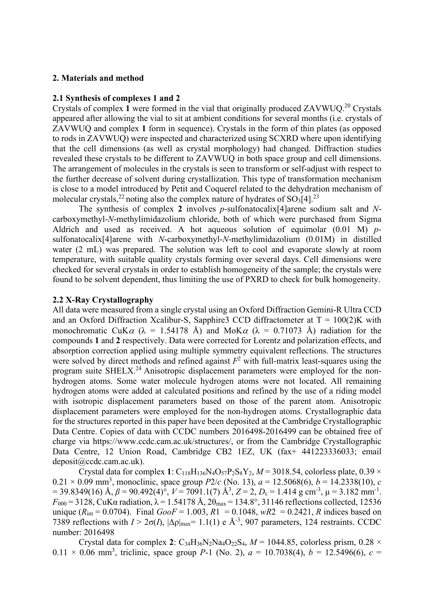## **2. Materials and method**

#### **2.1 Synthesis of complexes 1 and 2**

Crystals of complex **1** were formed in the vial that originally produced ZAVWUQ.20 Crystals appeared after allowing the vial to sit at ambient conditions for several months (i.e. crystals of ZAVWUQ and complex **1** form in sequence). Crystals in the form of thin plates (as opposed to rods in ZAVWUQ) were inspected and characterized using SCXRD where upon identifying that the cell dimensions (as well as crystal morphology) had changed. Diffraction studies revealed these crystals to be different to ZAVWUQ in both space group and cell dimensions. The arrangement of molecules in the crystals is seen to transform or self-adjust with respect to the further decrease of solvent during crystallization. This type of transformation mechanism is close to a model introduced by Petit and Coquerel related to the dehydration mechanism of molecular crystals,<sup>22</sup> noting also the complex nature of hydrates of SO<sub>3</sub>[4].<sup>23</sup>

The synthesis of complex **2** involves *p*-sulfonatocalix[4]arene sodium salt and *N*carboxymethyl-*N*-methylimidazolium chloride, both of which were purchased from Sigma Aldrich and used as received. A hot aqueous solution of equimolar (0.01 M) *p*sulfonatocalix[4]arene with *N*-carboxymethyl-*N*-methylimidazolium (0.01M) in distilled water (2 mL) was prepared. The solution was left to cool and evaporate slowly at room temperature, with suitable quality crystals forming over several days. Cell dimensions were checked for several crystals in order to establish homogeneity of the sample; the crystals were found to be solvent dependent, thus limiting the use of PXRD to check for bulk homogeneity.

### **2.2 X-Ray Crystallography**

All data were measured from a single crystal using an Oxford Diffraction Gemini-R Ultra CCD and an Oxford Diffraction Xcalibur-S, Sapphire3 CCD diffractometer at  $T = 100(2)K$  with monochromatic CuK $\alpha$  ( $\lambda$  = 1.54178 Å) and MoK $\alpha$  ( $\lambda$  = 0.71073 Å) radiation for the compounds **1** and **2** respectively. Data were corrected for Lorentz and polarization effects, and absorption correction applied using multiple symmetry equivalent reflections. The structures were solved by direct methods and refined against  $F^2$  with full-matrix least-squares using the program suite SHELX.<sup>24</sup> Anisotropic displacement parameters were employed for the nonhydrogen atoms. Some water molecule hydrogen atoms were not located. All remaining hydrogen atoms were added at calculated positions and refined by the use of a riding model with isotropic displacement parameters based on those of the parent atom. Anisotropic displacement parameters were employed for the non-hydrogen atoms. Crystallographic data for the structures reported in this paper have been deposited at the Cambridge Crystallographic Data Centre. Copies of data with CCDC numbers 2016498-2016499 can be obtained free of charge via https://www.ccdc.cam.ac.uk/structures/, or from the Cambridge Crystallographic Data Centre, 12 Union Road, Cambridge CB2 1EZ, UK (fax+ 441223336033; email deposit@ccdc.cam.ac.uk).

Crystal data for complex 1:  $C_{118}H_{136}N_4O_{57}P_2S_8Y_2$ ,  $M = 3018.54$ , colorless plate, 0.39  $\times$  $0.21 \times 0.09$  mm<sup>3</sup>, monoclinic, space group  $P2/c$  (No. 13),  $a = 12.5068(6)$ ,  $b = 14.2338(10)$ , *c*  $= 39.8349(16)$  Å,  $\beta = 90.492(4)$ °,  $V = 7091.1(7)$  Å<sup>3</sup>,  $Z = 2$ ,  $D_c = 1.414$  g cm<sup>-3</sup>,  $\mu = 3.182$  mm<sup>-1</sup>.  $F_{000}$  = 3128, CuKα radiation,  $\lambda$  = 1.54178 Å,  $2θ_{\text{max}}$  = 134.8°, 31146 reflections collected, 12536 unique ( $R_{\text{int}} = 0.0704$ ). Final  $GooF = 1.003$ ,  $R1 = 0.1048$ ,  $wR2 = 0.2421$ , *R* indices based on 7389 reflections with  $I > 2\sigma(I)$ ,  $|\Delta \rho|_{\text{max}} = 1.1(1)$  e  $\AA^{-3}$ , 907 parameters, 124 restraints. CCDC number: 2016498

Crystal data for complex 2: C<sub>34</sub>H<sub>36</sub>N<sub>2</sub>Na<sub>4</sub>O<sub>22</sub>S<sub>4</sub>,  $M = 1044.85$ , colorless prism, 0.28  $\times$  $0.11 \times 0.06$  mm<sup>3</sup>, triclinic, space group *P*-1 (No. 2),  $a = 10.7038(4)$ ,  $b = 12.5496(6)$ ,  $c =$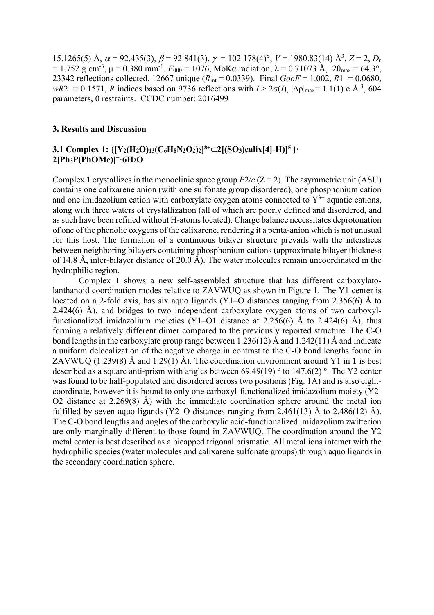15.1265(5) Å,  $\alpha$  = 92.435(3),  $\beta$  = 92.841(3),  $\gamma$  = 102.178(4)°,  $V$  = 1980.83(14) Å<sup>3</sup>,  $Z$  = 2,  $D_c$ = 1.752 g cm<sup>-3</sup>, μ = 0.380 mm<sup>-1</sup>.  $F_{000}$  = 1076, MoKα radiation, λ = 0.71073 Å, 2θ<sub>max</sub> = 64.3°, 23342 reflections collected, 12667 unique (*R*int = 0.0339). Final *GooF* = 1.002, *R*1 = 0.0680, *wR*2 = 0.1571, *R* indices based on 9736 reflections with  $I > 2\sigma(I)$ ,  $\Delta \rho|_{\text{max}} = 1.1(1) e \text{ Å}^{-3}$ , 604 parameters, 0 restraints. CCDC number: 2016499

#### **3. Results and Discussion**

# **3.1 Complex 1:** {[Y2(H2O)13(C6H8N2O2)2]<sup>8+</sup>⊂2[(SO3)calix[4]-H)]<sup>5-</sup>}· **2[Ph3P(PhOMe)]+·6H2O**

Complex 1 crystallizes in the monoclinic space group  $P2/c$  ( $Z = 2$ ). The asymmetric unit (ASU) contains one calixarene anion (with one sulfonate group disordered), one phosphonium cation and one imidazolium cation with carboxylate oxygen atoms connected to  $Y^{3+}$  aquatic cations, along with three waters of crystallization (all of which are poorly defined and disordered, and as such have been refined without H-atoms located). Charge balance necessitates deprotonation of one of the phenolic oxygens of the calixarene, rendering it a penta-anion which is not unusual for this host. The formation of a continuous bilayer structure prevails with the interstices between neighboring bilayers containing phosphonium cations (approximate bilayer thickness of 14.8 Å, inter-bilayer distance of 20.0 Å). The water molecules remain uncoordinated in the hydrophilic region.

Complex **1** shows a new self-assembled structure that has different carboxylatolanthanoid coordination modes relative to ZAVWUQ as shown in Figure 1. The Y1 center is located on a 2-fold axis, has six aquo ligands (Y1–O distances ranging from 2.356(6) Å to 2.424(6) Å), and bridges to two independent carboxylate oxygen atoms of two carboxylfunctionalized imidazolium moieties (Y1–O1 distance at 2.256(6) Å to 2.424(6) Å), thus forming a relatively different dimer compared to the previously reported structure. The C-O bond lengths in the carboxylate group range between 1.236(12) Å and 1.242(11) Å and indicate a uniform delocalization of the negative charge in contrast to the C-O bond lengths found in ZAVWUQ (1.239(8) Å and 1.29(1) Å). The coordination environment around Y1 in **1** is best described as a square anti-prism with angles between 69.49(19)  $\textdegree$  to 147.6(2)  $\textdegree$ . The Y2 center was found to be half-populated and disordered across two positions (Fig. 1A) and is also eightcoordinate, however it is bound to only one carboxyl-functionalized imidazolium moiety (Y2- O2 distance at 2.269(8) Å) with the immediate coordination sphere around the metal ion fulfilled by seven aquo ligands (Y2–O distances ranging from 2.461(13) Å to 2.486(12) Å). The C-O bond lengths and angles of the carboxylic acid-functionalized imidazolium zwitterion are only marginally different to those found in ZAVWUQ. The coordination around the Y2 metal center is best described as a bicapped trigonal prismatic. All metal ions interact with the hydrophilic species (water molecules and calixarene sulfonate groups) through aquo ligands in the secondary coordination sphere.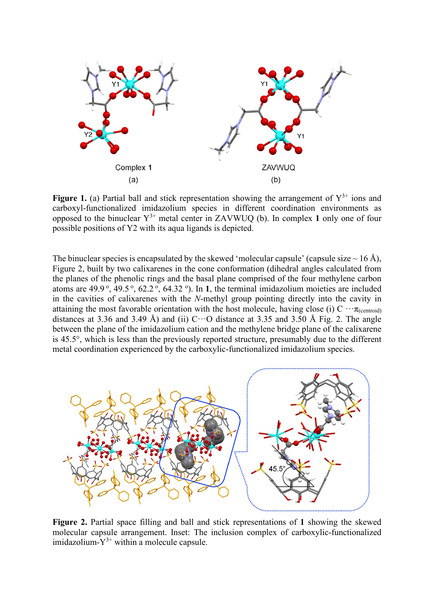

**Figure 1.** (a) Partial ball and stick representation showing the arrangement of  $Y^{3+}$  ions and carboxyl-functionalized imidazolium species in different coordination environments as opposed to the binuclear  $Y^{3+}$  metal center in ZAVWUQ (b). In complex 1 only one of four possible positions of Y2 with its aqua ligands is depicted.

The binuclear species is encapsulated by the skewed 'molecular capsule' (capsule size  $\sim$  16 Å), Figure 2, built by two calixarenes in the cone conformation (dihedral angles calculated from the planes of the phenolic rings and the basal plane comprised of the four methylene carbon atoms are  $49.9^{\circ}$ ,  $49.5^{\circ}$ ,  $62.2^{\circ}$ ,  $64.32^{\circ}$ ). In 1, the terminal imidazolium moieties are included in the cavities of calixarenes with the *N*-methyl group pointing directly into the cavity in attaining the most favorable orientation with the host molecule, having close (i) C  $\cdots \pi_{(centroid)}$ distances at 3.36 and 3.49 Å) and (ii)  $C \cdots O$  distance at 3.35 and 3.50 Å Fig. 2. The angle between the plane of the imidazolium cation and the methylene bridge plane of the calixarene is 45.5°, which is less than the previously reported structure, presumably due to the different metal coordination experienced by the carboxylic-functionalized imidazolium species.



**Figure 2.** Partial space filling and ball and stick representations of **1** showing the skewed molecular capsule arrangement. Inset: The inclusion complex of carboxylic-functionalized imidazolium- $Y^{3+}$  within a molecule capsule.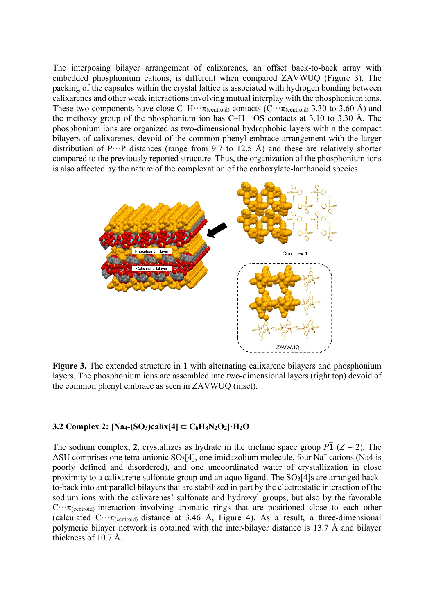The interposing bilayer arrangement of calixarenes, an offset back-to-back array with embedded phosphonium cations, is different when compared ZAVWUQ (Figure 3). The packing of the capsules within the crystal lattice is associated with hydrogen bonding between calixarenes and other weak interactions involving mutual interplay with the phosphonium ions. These two components have close C–H $\cdots$  $\pi$ <sub>(centroid)</sub> contacts (C $\cdots$  $\pi$ <sub>(centroid)</sub> 3.30 to 3.60 Å) and the methoxy group of the phosphonium ion has  $C-H\cdots$  OS contacts at 3.10 to 3.30 Å. The phosphonium ions are organized as two-dimensional hydrophobic layers within the compact bilayers of calixarenes, devoid of the common phenyl embrace arrangement with the larger distribution of  $P^{\cdots}P$  distances (range from 9.7 to 12.5 Å) and these are relatively shorter compared to the previously reported structure. Thus, the organization of the phosphonium ions is also affected by the nature of the complexation of the carboxylate-lanthanoid species.



**Figure 3.** The extended structure in **1** with alternating calixarene bilayers and phosphonium layers. The phosphonium ions are assembled into two-dimensional layers (right top) devoid of the common phenyl embrace as seen in ZAVWUQ (inset).

## **3.2 Complex 2: [Na4-(SO3)calix[4]** ⊂ **C6H8N2O2]·H2O**

The sodium complex, 2, crystallizes as hydrate in the triclinic space group  $P\overline{1}$  ( $Z = 2$ ). The ASU comprises one tetra-anionic  $SO_3[4]$ , one imidazolium molecule, four Na<sup>+</sup> cations (Na4 is poorly defined and disordered), and one uncoordinated water of crystallization in close proximity to a calixarene sulfonate group and an aquo ligand. The  $SO<sub>3</sub>[4]$ s are arranged backto-back into antiparallel bilayers that are stabilized in part by the electrostatic interaction of the sodium ions with the calixarenes' sulfonate and hydroxyl groups, but also by the favorable  $C \cdots \pi_{(centroid)}$  interaction involving aromatic rings that are positioned close to each other (calculated  $C \cdot \tau_{(centroid)}$  distance at 3.46 Å, Figure 4). As a result, a three-dimensional polymeric bilayer network is obtained with the inter-bilayer distance is 13.7 Å and bilayer thickness of 10.7 Å.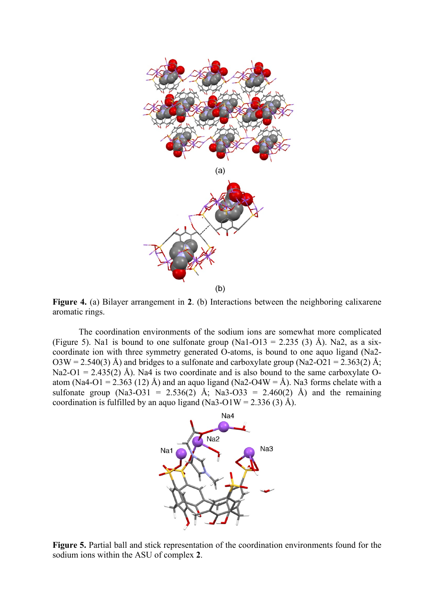

**Figure 4.** (a) Bilayer arrangement in **2**. (b) Interactions between the neighboring calixarene aromatic rings.

The coordination environments of the sodium ions are somewhat more complicated (Figure 5). Na1 is bound to one sulfonate group (Na1-O13 = 2.235 (3) Å). Na2, as a sixcoordinate ion with three symmetry generated O-atoms, is bound to one aquo ligand (Na2- O3W = 2.540(3) Å) and bridges to a sulfonate and carboxylate group (Na2-O21 = 2.363(2) Å; Na2-O1 = 2.435(2) Å). Na4 is two coordinate and is also bound to the same carboxylate Oatom (Na4-O1 = 2.363 (12) Å) and an aquo ligand (Na2-O4W = Å). Na3 forms chelate with a sulfonate group (Na3-O31 = 2.536(2) Å; Na3-O33 = 2.460(2) Å) and the remaining coordination is fulfilled by an aquo ligand (Na3-O1W = 2.336 (3) Å).



**Figure 5.** Partial ball and stick representation of the coordination environments found for the sodium ions within the ASU of complex **2**.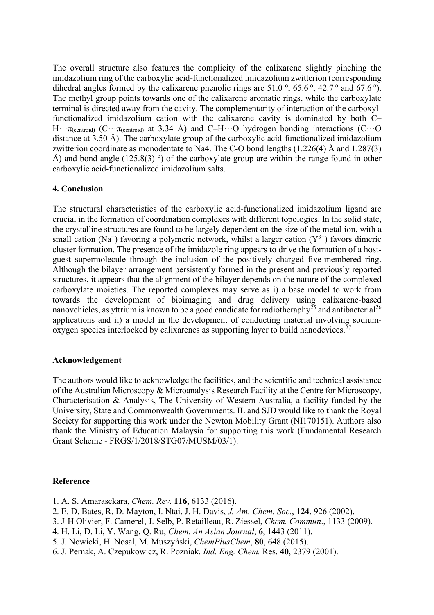The overall structure also features the complicity of the calixarene slightly pinching the imidazolium ring of the carboxylic acid-functionalized imidazolium zwitterion (corresponding dihedral angles formed by the calixarene phenolic rings are 51.0  $\degree$ , 65.6  $\degree$ , 42.7  $\degree$  and 67.6  $\degree$ ). The methyl group points towards one of the calixarene aromatic rings, while the carboxylate terminal is directed away from the cavity. The complementarity of interaction of the carboxylfunctionalized imidazolium cation with the calixarene cavity is dominated by both C– H $\cdots$  $\pi$ <sub>(centroid)</sub> (C $\cdots$  $\pi$ <sub>(centroid)</sub> at 3.34 Å) and C–H $\cdots$ O hydrogen bonding interactions (C $\cdots$ O distance at 3.50 Å). The carboxylate group of the carboxylic acid-functionalized imidazolium zwitterion coordinate as monodentate to Na4. The C-O bond lengths (1.226(4) Å and 1.287(3) Å) and bond angle  $(125.8(3)$ <sup>o</sup>) of the carboxylate group are within the range found in other carboxylic acid-functionalized imidazolium salts.

# **4. Conclusion**

The structural characteristics of the carboxylic acid-functionalized imidazolium ligand are crucial in the formation of coordination complexes with different topologies. In the solid state, the crystalline structures are found to be largely dependent on the size of the metal ion, with a small cation (Na<sup>+</sup>) favoring a polymeric network, whilst a larger cation (Y<sup>3+</sup>) favors dimeric cluster formation. The presence of the imidazole ring appears to drive the formation of a hostguest supermolecule through the inclusion of the positively charged five-membered ring. Although the bilayer arrangement persistently formed in the present and previously reported structures, it appears that the alignment of the bilayer depends on the nature of the complexed carboxylate moieties. The reported complexes may serve as i) a base model to work from towards the development of bioimaging and drug delivery using calixarene-based nanovehicles, as yttrium is known to be a good candidate for radiotheraphy $^{25}$  and antibacterial $^{26}$ applications and ii) a model in the development of conducting material involving sodiumoxygen species interlocked by calixarenes as supporting layer to build nanodevices.<sup>27</sup>

# **Acknowledgement**

The authors would like to acknowledge the facilities, and the scientific and technical assistance of the Australian Microscopy & Microanalysis Research Facility at the Centre for Microscopy, Characterisation & Analysis, The University of Western Australia, a facility funded by the University, State and Commonwealth Governments. IL and SJD would like to thank the Royal Society for supporting this work under the Newton Mobility Grant (NI170151). Authors also thank the Ministry of Education Malaysia for supporting this work (Fundamental Research Grant Scheme - FRGS/1/2018/STG07/MUSM/03/1).

### **Reference**

- 1. A. S. Amarasekara, *Chem. Rev*. **116**, 6133 (2016).
- 2. E. D. Bates, R. D. Mayton, I. Ntai, J. H. Davis, *J. Am. Chem. Soc.*, **124**, 926 (2002).
- 3. J-H Olivier, F. Camerel, J. Selb, P. Retailleau, R. Ziessel, *Chem. Commun*., 1133 (2009).
- 4. H. Li, D. Li, Y. Wang, Q. Ru, *Chem. An Asian Journal*, **6**, 1443 (2011).
- 5. J. Nowicki, H. Nosal, M. Muszyński, *ChemPlusChem*, **80**, 648 (2015).
- 6. J. Pernak, A. Czepukowicz, R. Pozniak. *Ind. Eng. Chem.* Res. **40**, 2379 (2001).